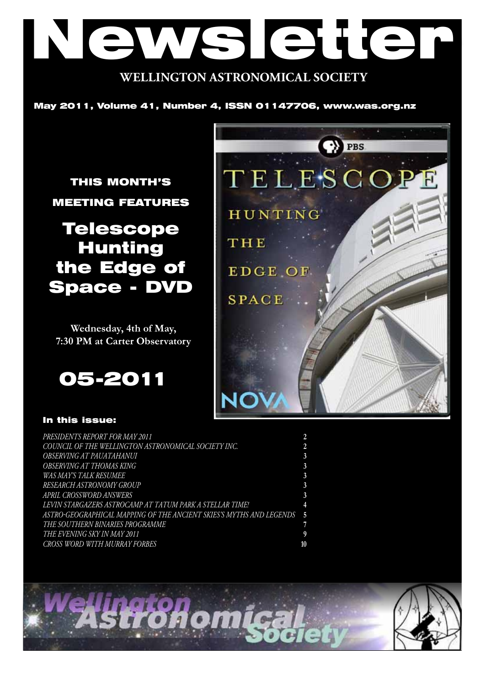# Newsletter **WELLINGTON ASTRONOMICAL SOCIETY**

May 2011, Volume 41, Number 4, ISSN 01147706, www.was.org.nz

THIS MONTH'S MEETING FEATURES

## Telescope Hunting the Edge of Space - DVD

**Wednesday, 4th of May, 7:30 PM at Carter Observatory**

05-2011

#### In this issue:

| (C) PBS        |
|----------------|
| TELESCOPE      |
| <b>HUNTING</b> |
| THE            |
| <b>EDGE OF</b> |
| <b>SPACE</b>   |
|                |
|                |
|                |

| PRESIDENTS REPORT FOR MAY 2011                                        |  |
|-----------------------------------------------------------------------|--|
| COUNCIL OF THE WELLINGTON ASTRONOMICAL SOCIETY INC.                   |  |
| <i><b>OBSERVING AT PAUATAHANUI</b></i>                                |  |
| OBSERVING AT THOMAS KING                                              |  |
| <i>WAS MAY'S TALK RESUMEE</i>                                         |  |
| RESEARCH ASTRONOMY GROUP                                              |  |
| APRIL CROSSWORD ANSWERS                                               |  |
| LEVIN STARGAZERS ASTROCAMP AT TATUM PARK A STELLAR TIME!              |  |
| ASTRO-GEOGRAPHICAL MAPPING OF THE ANCIENT SKIES'S MYTHS AND LEGENDS 5 |  |
| THE SOUTHERN BINARIES PROGRAMME                                       |  |
| THE EVENING SKY IN MAY 2011                                           |  |
| CROSS WORD WITH MURRAY FORBES                                         |  |

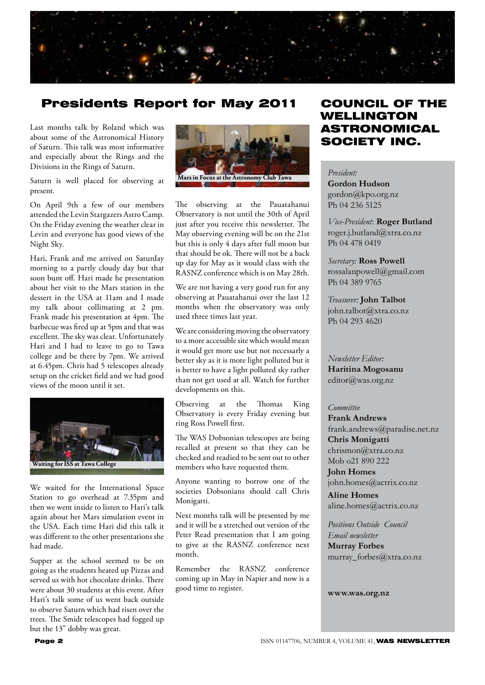

## Presidents Report for May 2011

Last months talk by Roland which was about some of the Astronomical History of Saturn. This talk was most informative and especially about the Rings and the Divisions in the Rings of Saturn.

Saturn is well placed for observing at present.

On April 9th a few of our members attended the Levin Stargazers Astro Camp. On the Friday evening the weather clear in Levin and everyone has good views of the Night Sky.

Hari, Frank and me arrived on Saturday morning to a partly cloudy day but that soon bunt off. Hari made he presentation about her visit to the Mars station in the dessert in the USA at 11am and I made my talk about collimating at 2 pm. Frank made his presentation at 4pm. The barbecue was fired up at 5pm and that was excellent. The sky was clear. Unfortunately Hari and I had to leave to go to Tawa college and be there by 7pm. We arrived at 6.45pm. Chris had 5 telescopes already setup on the cricket field and we had good views of the moon until it set.



We waited for the International Space Station to go overhead at 7.35pm and then we went inside to listen to Hari's talk again about her Mars simulation event in the USA. Each time Hari did this talk it was different to the other presentations she had made.

Supper at the school seemed to be on going as the students heated up Pizzas and served us with hot chocolate drinks. There were about 30 students at this event. After Hari's talk some of us went back outside to observe Saturn which had risen over the trees. The Smidt telescopes had fogged up but the 13" dobby was great.



The observing at the Pauatahanui Observatory is not until the 30th of April just after you receive this newsletter. The May observing evening will be on the 21st but this is only 4 days after full moon but that should be ok. There will not be a back up day for May as it would class with the RASNZ conference which is on May 28th.

We are not having a very good run for any observing at Pauatahanui over the last 12 months when the observatory was only used three times last year.

We are considering moving the observatory to a more accessible site which would mean it would get more use but not necessarly a better sky as it is more light polluted but it is better to have a light polluted sky rather than not get used at all. Watch for further developments on this.

Observing at the Thomas King Observatory is every Friday evening but ring Ross Powell first.

The WAS Dobsonian telescopes are being recalled at present so that they can be checked and readied to be sent out to other members who have requested them.

Anyone wanting to borrow one of the societies Dobsonians should call Chris Monigatti.

Next months talk will be presented by me and it will be a stretched out version of the Peter Read presentation that I am going to give at the RASNZ conference next month.

Remember the RASNZ conference coming up in May in Napier and now is a good time to register.

## COUNCIL OF THE WELLINGTON ASTRONOMICAL SOCIETY INC.

*President:*  **Gordon Hudson** gordon@kpo.org.nz Ph 04 236 5125

*Vice-President*: **Roger Butland** roger.j.butland@xtra.co.nz Ph 04 478 0419

*Secretary:* **Ross Powell** rossalanpowell@gmail.com Ph 04 389 9765

*Treasurer:* **John Talbot** john.talbot@xtra.co.nz Ph 04 293 4620

*Newsletter Editor:*  **Haritina Mogosanu** editor@was.org.nz

#### *Committee*

**Frank Andrews** frank.andrews@paradise.net.nz **Chris Monigatti** chrismon@xtra.co.nz Mob o21 890 222

**John Homes** john.homes@actrix.co.nz

**Aline Homes** aline.homes@actrix.co.nz

*Positions Outside Council Email newsletter* **Murray Forbes** murray forbes@xtra.co.nz

**www.was.org.nz**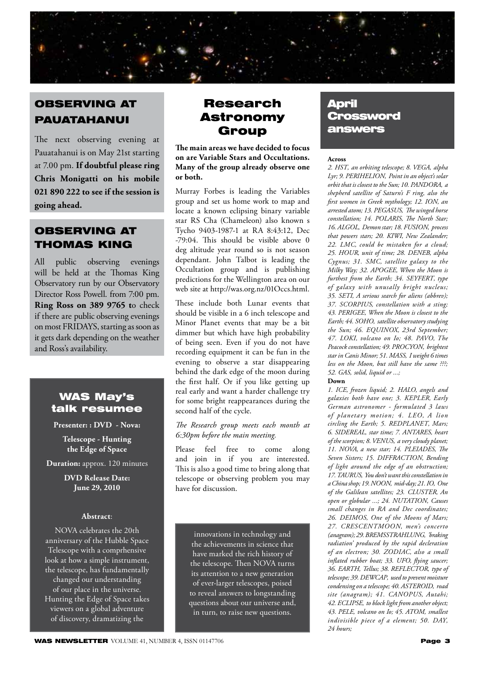

## OBSERVING AT PAUATAHANUI

The next observing evening at Pauatahanui is on May 21st starting at 7.00 pm. **If doubtful please ring Chris Monigatti on his mobile 021 890 222 to see if the session is going ahead.**

## OBSERVING AT THOMAS KING

All public observing evenings will be held at the Thomas King Observatory run by our Observatory Director Ross Powell. from 7:00 pm. **Ring Ross on 389 9765 t**o check if there are public observing evenings on most FRIDAYS, starting as soon as it gets dark depending on the weather and Ross's availability.

## WAS May's talk resumee

#### **Presenter: : DVD - Nova:**

**Telescope - Hunting the Edge of Space**

**Duration:** approx. 120 minutes

**DVD Release Date: June 29, 2010**

#### **Abstract**:

NOVA celebrates the 20th anniversary of the Hubble Space Telescope with a comprhensive look at how a simple instrument, the telescope, has fundamentally changed our understanding of our place in the universe. Hunting the Edge of Space takes viewers on a global adventure of discovery, dramatizing the

## Research Astronomy Group

**The main areas we have decided to focus on are Variable Stars and Occultations. Many of the group already observe one or both.**

Murray Forbes is leading the Variables group and set us home work to map and locate a known eclipsing binary variable star RS Cha (Chameleon) also known s Tycho 9403-1987-1 at RA 8:43:12, Dec -79:04. This should be visible above 0 deg altitude year round so is not season dependant. John Talbot is leading the Occultation group and is publishing predictions for the Wellington area on our web site at http://was.org.nz/01Occs.html.

These include both Lunar events that should be visible in a 6 inch telescope and Minor Planet events that may be a bit dimmer but which have high probability of being seen. Even if you do not have recording equipment it can be fun in the evening to observe a star disappearing behind the dark edge of the moon during the first half. Or if you like getting up real early and want a harder challenge try for some bright reappearances during the second half of the cycle.

#### *The Research group meets each month at 6:30pm before the main meeting.*

Please feel free to come along and join in if you are interested. This is also a good time to bring along that telescope or observing problem you may have for discussion.

innovations in technology and the achievements in science that have marked the rich history of the telescope. Then NOVA turns its attention to a new generation of ever-larger telescopes, poised to reveal answers to longstanding questions about our universe and, in turn, to raise new questions.

## April **Crossword** answers

#### **Across**

*2. HST' an orbiting telescope; 8. VEGA' alpha Lyr; 9. PERIHELION' Point in an object's solar orbit that is closest to the Sun; 10. PANDORA' a shepherd satellite of Saturn's F ring, also the first women in Greek mythology; 12. ION' an arrested atom; 13. PEGASUS' The winged horse constellation; 14. POLARIS' The North Star; 16. ALGOL' Demon star; 18. FUSION' process that powers stars; 20. KIWI, New Zealander; 22. LMC' could be mistaken for a cloud; 25. HOUR' unit of time; 28. DENEB' alpha Cygnus; 31. SMC' satellite galaxy to the Milky Way; 32. APOGEE' When the Moon is furthest from the Earth; 34. SEYFERT' type of galaxy with unusally bright nucleus; 35. SETI' A serious search for aliens (abbrev); 37. SCORPIUS' constellation with a sting; 43. PERIGEE' When the Moon is closest to the Earth; 44. SOHO' satellite observatory studying the Sun; 46. EQUINOX' 23rd September; 47. LOKI' volcano on Io; 48. PAVO' The Peacock constellation; 49. PROCYON' brightest*  star in Canis Minor; 51. MASS, I weight 6 times *less on the Moon, but still have the same ???; 52. GAS' solid, liquid or ...;*

#### **Down**

*1. ICE' frozen liquid; 2. HALO' angels and*  galaxies both have one; 3. KEPLER, Early *German astronomer - formulated 3 laws of planetary motion; 4. LEO' A lion circling the Earth; 5. REDPLANET' Mars; 6. SIDEREAL' star time; 7. ANTARES' heart of the scorpion; 8. VENUS' a very cloudy planet; 11. NOVA' a new star; 14. PLEIADES' The Seven Sisters; 15. DIFFRACTION' Bending of light around the edge of an obstruction; 17. TAURUS' You don't want this constellation in a China shop; 19. NOON' mid-day; 21. IO' One*  of the Galilean satellites; 23. CLUSTER, An *open or globular ...; 24. NUTATION' Causes small changes in RA and Dec coordinates;*  26. DEIMOS, One of the Moons of Mars; *27. CRESCENTMOON' men's concerto (anagram); 29. BREMSSTRAHLUNG' 'braking radiation' produced by the rapid decleration of an electron; 30. ZODIAC' also a small inflated rubber boat; 33. UFO' flying saucer; 36. EARTH' Tellus; 38. REFLECTOR' type of telescope; 39. DEWCAP' used to prevent moisture condensing on a telescope; 40. ASTEROID' road*  site (anagram); 41. CANOPUS, Autahi; *42. ECLIPSE' to block light from another object; 43. PELE' volcano on Io; 45. ATOM' smallest indivisible piece of a element; 50. DAY' 24 hours;*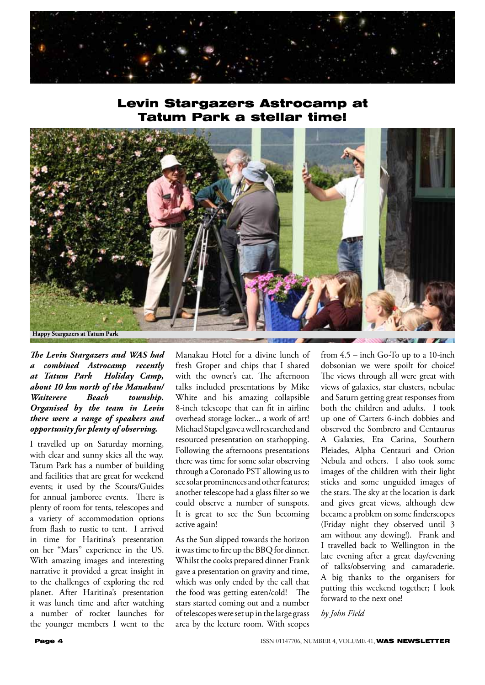

## Levin Stargazers Astrocamp at Tatum Park a stellar time!



*The Levin Stargazers and WAS had a combined Astrocamp recently at Tatum Park Holiday Camp, about 10 km north of the Manakau/ Waiterere Beach township. Organised by the team in Levin there were a range of speakers and opportunity for plenty of observing.*

I travelled up on Saturday morning, with clear and sunny skies all the way. Tatum Park has a number of building and facilities that are great for weekend events; it used by the Scouts/Guides for annual jamboree events. There is plenty of room for tents, telescopes and a variety of accommodation options from flash to rustic to tent. I arrived in time for Haritina's presentation on her "Mars" experience in the US. With amazing images and interesting narrative it provided a great insight in to the challenges of exploring the red planet. After Haritina's presentation it was lunch time and after watching a number of rocket launches for the younger members I went to the Manakau Hotel for a divine lunch of fresh Groper and chips that I shared with the owner's cat. The afternoon talks included presentations by Mike White and his amazing collapsible 8-inch telescope that can fit in airline overhead storage locker... a work of art! Michael Stapel gave a well researched and resourced presentation on starhopping. Following the afternoons presentations there was time for some solar observing through a Coronado PST allowing us to see solar prominences and other features; another telescope had a glass filter so we could observe a number of sunspots. It is great to see the Sun becoming active again!

As the Sun slipped towards the horizon it was time to fire up the BBQ for dinner. Whilst the cooks prepared dinner Frank gave a presentation on gravity and time, which was only ended by the call that the food was getting eaten/cold! The stars started coming out and a number of telescopes were set up in the large grass area by the lecture room. With scopes from 4.5 – inch Go-To up to a 10-inch dobsonian we were spoilt for choice! The views through all were great with views of galaxies, star clusters, nebulae and Saturn getting great responses from both the children and adults. I took up one of Carters 6-inch dobbies and observed the Sombrero and Centaurus A Galaxies, Eta Carina, Southern Pleiades, Alpha Centauri and Orion Nebula and others. I also took some images of the children with their light sticks and some unguided images of the stars. The sky at the location is dark and gives great views, although dew became a problem on some finderscopes (Friday night they observed until 3 am without any dewing!). Frank and I travelled back to Wellington in the late evening after a great day/evening of talks/observing and camaraderie. A big thanks to the organisers for putting this weekend together; I look forward to the next one!

#### *by John Field*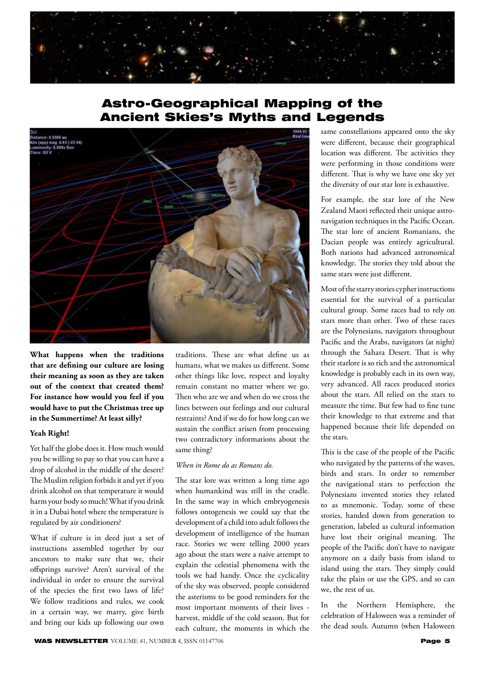

## Astro-Geographical Mapping of the Ancient Skies's Myths and Legends



**What happens when the traditions that are defining our culture are losing their meaning as soon as they are taken out of the context that created them? For instance how would you feel if you would have to put the Christmas tree up in the Summertime? At least silly?** 

#### **Yeah Right!**

Yet half the globe does it. How much would you be willing to pay so that you can have a drop of alcohol in the middle of the desert? The Muslim religion forbids it and yet if you drink alcohol on that temperature it would harm your body so much! What if you drink it in a Dubai hotel where the temperature is regulated by air conditioners?

What if culture is in deed just a set of instructions assembled together by our ancestors to make sure that we, their offsprings survive? Aren't survival of the individual in order to ensure the survival of the species the first two laws of life? We follow traditions and rules, we cook in a certain way, we marry, give birth and bring our kids up following our own

traditions. These are what define us as humans, what we makes us different. Some other things like love, respect and loyalty remain constant no matter where we go. Then who are we and when do we cross the lines between our feelings and our cultural restraints? And if we do for how long can we sustain the conflict arisen from processing two contradictory informations about the same thing?

#### *When in Rome do as Romans do.*

The star lore was written a long time ago when humankind was still in the cradle. In the same way in which embryogenesis follows ontogenesis we could say that the development of a child into adult follows the development of intelligence of the human race. Stories we were telling 2000 years ago about the stars were a naive attempt to explain the celestial phenomena with the tools we had handy. Once the cyclicality of the sky was observed, people considered the asterisms to be good reminders for the most important moments of their lives harvest, middle of the cold season. But for each culture, the moments in which the same constellations appeared onto the sky were different, because their geographical location was different. The activities they were performing in those conditions were different. That is why we have one sky yet the diversity of our star lore is exhaustive.

For example, the star lore of the New Zealand Maori reflected their unique astronavigation techniques in the Pacific Ocean. The star lore of ancient Romanians, the Dacian people was entirely agricultural. Both nations had advanced astronomical knowledge. The stories they told about the same stars were just different.

Most of the starry stories cypher instructions essential for the survival of a particular cultural group. Some races had to rely on stars more than other. Two of these races are the Polynesians, navigators throughout Pacific and the Arabs, navigators (at night) through the Sahara Desert. That is why their starlore is so rich and the astronomical knowledge is probably each in its own way, very advanced. All races produced stories about the stars. All relied on the stars to measure the time. But few had to fine tune their knowledge to that extreme and that happened because their life depended on the stars.

This is the case of the people of the Pacific who navigated by the patterns of the waves, birds and stars. In order to remember the navigational stars to perfection the Polynesians invented stories they related to as mnemonic. Today, some of these stories, handed down from generation to generation, labeled as cultural information have lost their original meaning. The people of the Pacific don't have to navigate anymore on a daily basis from island to island using the stars. They simply could take the plain or use the GPS, and so can we, the rest of us.

In the Northern Hemisphere, the celebration of Haloween was a reminder of the dead souls. Autumn (when Haloween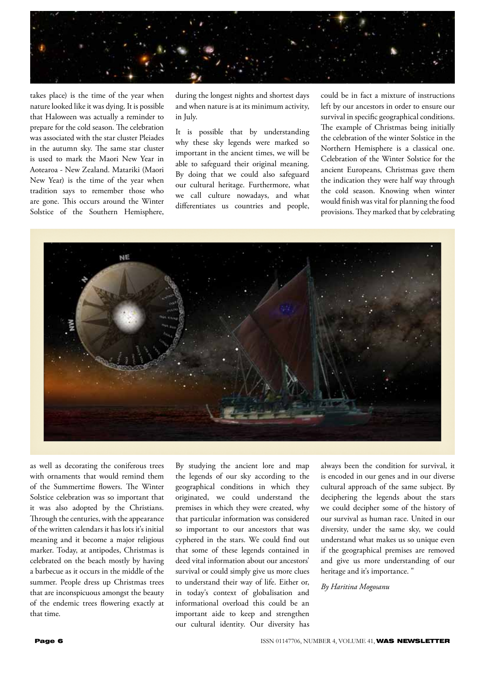

takes place) is the time of the year when nature looked like it was dying. It is possible that Haloween was actually a reminder to prepare for the cold season. The celebration was associated with the star cluster Pleiades in the autumn sky. The same star cluster is used to mark the Maori New Year in Aotearoa - New Zealand. Matariki (Maori New Year) is the time of the year when tradition says to remember those who are gone. This occurs around the Winter Solstice of the Southern Hemisphere,

during the longest nights and shortest days and when nature is at its minimum activity, in July.

It is possible that by understanding why these sky legends were marked so important in the ancient times, we will be able to safeguard their original meaning. By doing that we could also safeguard our cultural heritage. Furthermore, what we call culture nowadays, and what differentiates us countries and people, could be in fact a mixture of instructions left by our ancestors in order to ensure our survival in specific geographical conditions. The example of Christmas being initially the celebration of the winter Solstice in the Northern Hemisphere is a classical one. Celebration of the Winter Solstice for the ancient Europeans, Christmas gave them the indication they were half way through the cold season. Knowing when winter would finish was vital for planning the food provisions. They marked that by celebrating



as well as decorating the coniferous trees with ornaments that would remind them of the Summertime flowers. The Winter Solstice celebration was so important that it was also adopted by the Christians. Through the centuries, with the appearance of the written calendars it has lots it's initial meaning and it become a major religious marker. Today, at antipodes, Christmas is celebrated on the beach mostly by having a barbecue as it occurs in the middle of the summer. People dress up Christmas trees that are inconspicuous amongst the beauty of the endemic trees flowering exactly at that time.

By studying the ancient lore and map the legends of our sky according to the geographical conditions in which they originated, we could understand the premises in which they were created, why that particular information was considered so important to our ancestors that was cyphered in the stars. We could find out that some of these legends contained in deed vital information about our ancestors' survival or could simply give us more clues to understand their way of life. Either or, in today's context of globalisation and informational overload this could be an important aide to keep and strengthen our cultural identity. Our diversity has

always been the condition for survival, it is encoded in our genes and in our diverse cultural approach of the same subject. By deciphering the legends about the stars we could decipher some of the history of our survival as human race. United in our diversity, under the same sky, we could understand what makes us so unique even if the geographical premises are removed and give us more understanding of our heritage and it's importance. "

*By Haritina Mogosanu*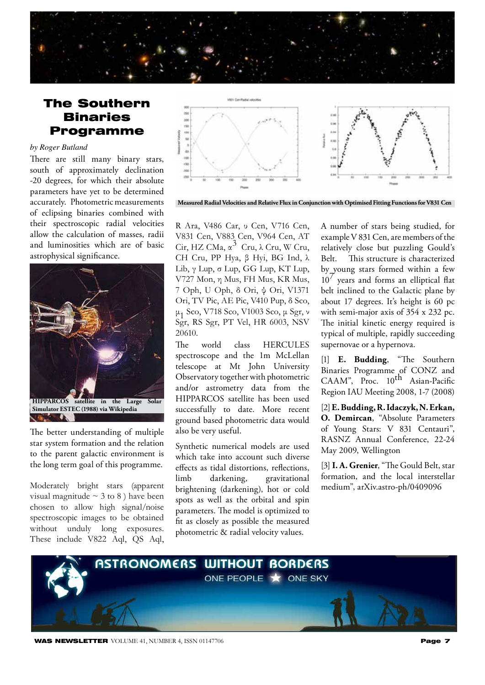## The Southern **Binaries** Programme

#### *by Roger Butland*

There are still many binary stars, south of approximately declination -20 degrees, for which their absolute parameters have yet to be determined accurately. Photometric measurements of eclipsing binaries combined with their spectroscopic radial velocities allow the calculation of masses, radii and luminosities which are of basic astrophysical significance.



The better understanding of multiple star system formation and the relation to the parent galactic environment is the long term goal of this programme.

Moderately bright stars (apparent visual magnitude  $\sim$  3 to 8 ) have been chosen to allow high signal/noise spectroscopic images to be obtained without unduly long exposures. These include V822 Aql, QS Aql,



**Measured Radial Velocities and Relative Flux in Conjunction with Optimised Fitting Functions for V831 Cen**

R Ara, V486 Car, υ Cen, V716 Cen, V831 Cen, V883 Cen, V964 Cen, AT Cir, HZ CMa,  $\alpha^3$  Cru,  $\lambda$  Cru, W Cru, CH Cru, PP Hya, β Hyi, BG Ind, λ Lib, γ Lup, σ Lup, GG Lup, KT Lup, V727 Mon, η Mus, FH Mus, KR Mus, 7 Oph, U Oph, δ Ori, ψ Ori, V1371 Ori, TV Pic, AE Pic, V410 Pup, δ Sco, μ1 Sco, V718 Sco, V1003 Sco, μ Sgr, ν Sgr, RS Sgr, PT Vel, HR 6003, NSV 20610.

The world class HERCULES spectroscope and the 1m McLellan telescope at Mt John University Observatory together with photometric and/or astrometry data from the HIPPARCOS satellite has been used successfully to date. More recent ground based photometric data would also be very useful.

Synthetic numerical models are used which take into account such diverse effects as tidal distortions, reflections, limb darkening, gravitational brightening (darkening), hot or cold spots as well as the orbital and spin parameters. The model is optimized to fit as closely as possible the measured photometric & radial velocity values.

A number of stars being studied, for example V 831 Cen, are members of the relatively close but puzzling Gould's Belt. This structure is characterized by young stars formed within a few  $10<sup>7</sup>$  years and forms an elliptical flat belt inclined to the Galactic plane by about 17 degrees. It's height is 60 pc with semi-major axis of 354 x 232 pc. The initial kinetic energy required is typical of multiple, rapidly succeeding supernovae or a hypernova.

[1] **E. Budding**, "The Southern Binaries Programme of CONZ and CAAM", Proc. 10<sup>th</sup> Asian-Pacific Region IAU Meeting 2008, 1-7 (2008)

[2] **E. Budding, R. Idaczyk, N. Erkan, O. Demircan**, "Absolute Parameters of Young Stars: V 831 Centauri", RASNZ Annual Conference, 22-24 May 2009, Wellington

[3] **I. A. Grenier**, "The Gould Belt, star formation, and the local interstellar medium", arXiv.astro-ph/0409096



**WAS NEWSLETTER** VOLUME 41, NUMBER 4, ISSN 01147706 **Page 7**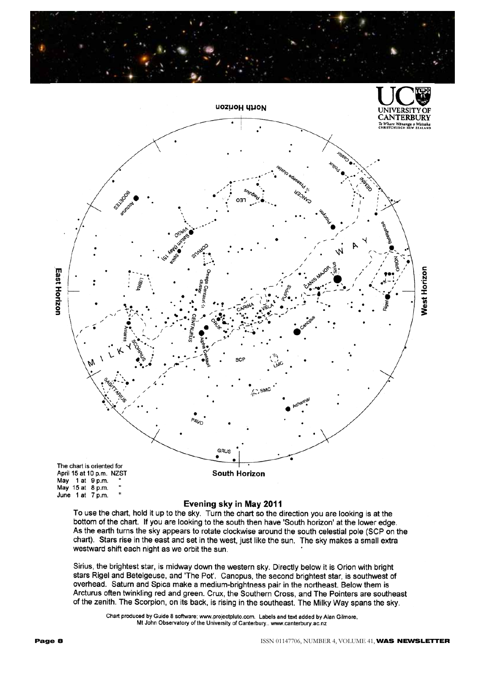



#### Evening sky in May 2011

To use the chart, hold it up to the sky. Turn the chart so the direction you are looking is at the bottom of the chart. If you are looking to the south then have 'South horizon' at the lower edge. As the earth turns the sky appears to rotate clockwise around the south celestial pole (SCP on the chart). Stars rise in the east and set in the west, just like the sun. The sky makes a small extra westward shift each night as we orbit the sun.

Sirius, the brightest star, is midway down the western sky. Directly below it is Orion with bright stars Rigel and Betelgeuse, and 'The Pot'. Canopus, the second brightest star, is southwest of overhead. Saturn and Spica make a medium-brightness pair in the northeast. Below them is Arcturus often twinkling red and green. Crux, the Southern Cross, and The Pointers are southeast of the zenith. The Scorpion, on its back, is rising in the southeast. The Milky Way spans the sky.

Chart produced by Guide 8 software; www.projectpluto.com. Labels and text added by Alan Gilmore, Mt John Observatory of the University of Canterbury.. www.canterbury.ac.nz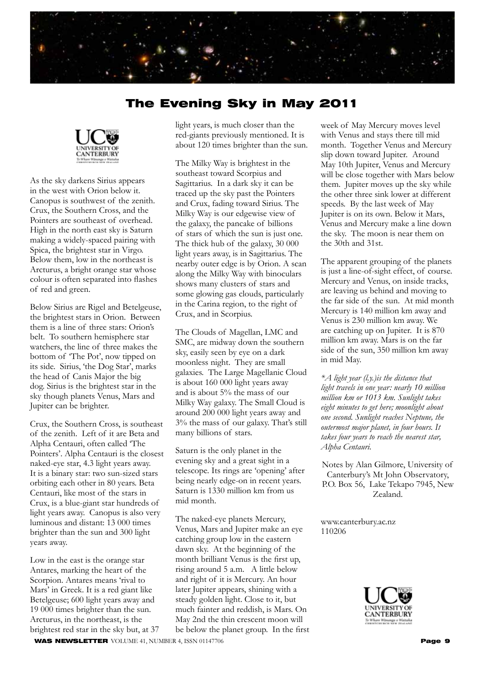

## The Evening Sky in May 2011



As the sky darkens Sirius appears in the west with Orion below it. Canopus is southwest of the zenith. Crux, the Southern Cross, and the Pointers are southeast of overhead. High in the north east sky is Saturn making a widely-spaced pairing with Spica, the brightest star in Virgo. Below them, low in the northeast is Arcturus, a bright orange star whose colour is often separated into flashes of red and green.

Below Sirius are Rigel and Betelgeuse, the brightest stars in Orion. Between them is a line of three stars: Orion's belt. To southern hemisphere star watchers, the line of three makes the bottom of 'The Pot', now tipped on its side. Sirius, 'the Dog Star', marks the head of Canis Major the big dog. Sirius is the brightest star in the sky though planets Venus, Mars and Jupiter can be brighter.

Crux, the Southern Cross, is southeast of the zenith. Left of it are Beta and Alpha Centauri, often called 'The Pointers'. Alpha Centauri is the closest naked-eye star, 4.3 light years away. It is a binary star: two sun-sized stars orbiting each other in 80 years. Beta Centauri, like most of the stars in Crux, is a blue-giant star hundreds of light years away. Canopus is also very luminous and distant: 13 000 times brighter than the sun and 300 light years away.

Low in the east is the orange star Antares, marking the heart of the Scorpion. Antares means 'rival to Mars' in Greek. It is a red giant like Betelgeuse; 600 light years away and 19 000 times brighter than the sun. Arcturus, in the northeast, is the brightest red star in the sky but, at 37 light years, is much closer than the red-giants previously mentioned. It is about 120 times brighter than the sun.

The Milky Way is brightest in the southeast toward Scorpius and Sagittarius. In a dark sky it can be traced up the sky past the Pointers and Crux, fading toward Sirius. The Milky Way is our edgewise view of the galaxy, the pancake of billions of stars of which the sun is just one. The thick hub of the galaxy, 30 000 light years away, is in Sagittarius. The nearby outer edge is by Orion. A scan along the Milky Way with binoculars shows many clusters of stars and some glowing gas clouds, particularly in the Carina region, to the right of Crux, and in Scorpius.

The Clouds of Magellan, LMC and SMC, are midway down the southern sky, easily seen by eye on a dark moonless night. They are small galaxies. The Large Magellanic Cloud is about 160 000 light years away and is about 5% the mass of our Milky Way galaxy. The Small Cloud is around 200 000 light years away and 3% the mass of our galaxy. That's still many billions of stars.

Saturn is the only planet in the evening sky and a great sight in a telescope. Its rings are 'opening' after being nearly edge-on in recent years. Saturn is 1330 million km from us mid month.

The naked-eye planets Mercury, Venus, Mars and Jupiter make an eye catching group low in the eastern dawn sky. At the beginning of the month brilliant Venus is the first up, rising around 5 a.m. A little below and right of it is Mercury. An hour later Jupiter appears, shining with a steady golden light. Close to it, but much fainter and reddish, is Mars. On May 2nd the thin crescent moon will be below the planet group. In the first

week of May Mercury moves level with Venus and stays there till mid month. Together Venus and Mercury slip down toward Jupiter. Around May 10th Jupiter, Venus and Mercury will be close together with Mars below them. Jupiter moves up the sky while the other three sink lower at different speeds. By the last week of May Jupiter is on its own. Below it Mars, Venus and Mercury make a line down the sky. The moon is near them on the 30th and 31st.

The apparent grouping of the planets is just a line-of-sight effect, of course. Mercury and Venus, on inside tracks, are leaving us behind and moving to the far side of the sun. At mid month Mercury is 140 million km away and Venus is 230 million km away. We are catching up on Jupiter. It is 870 million km away. Mars is on the far side of the sun, 350 million km away in mid May.

*\*A light year (l.y.)is the distance that light travels in one year: nearly 10 million million km or 1013 km. Sunlight takes eight minutes to get here; moonlight about one second. Sunlight reaches Neptune, the outermost major planet, in four hours. It takes four years to reach the nearest star, Alpha Centauri.*

Notes by Alan Gilmore, University of Canterbury's Mt John Observatory, P.O. Box 56, Lake Tekapo 7945, New Zealand.

www.canterbury.ac.nz 110206